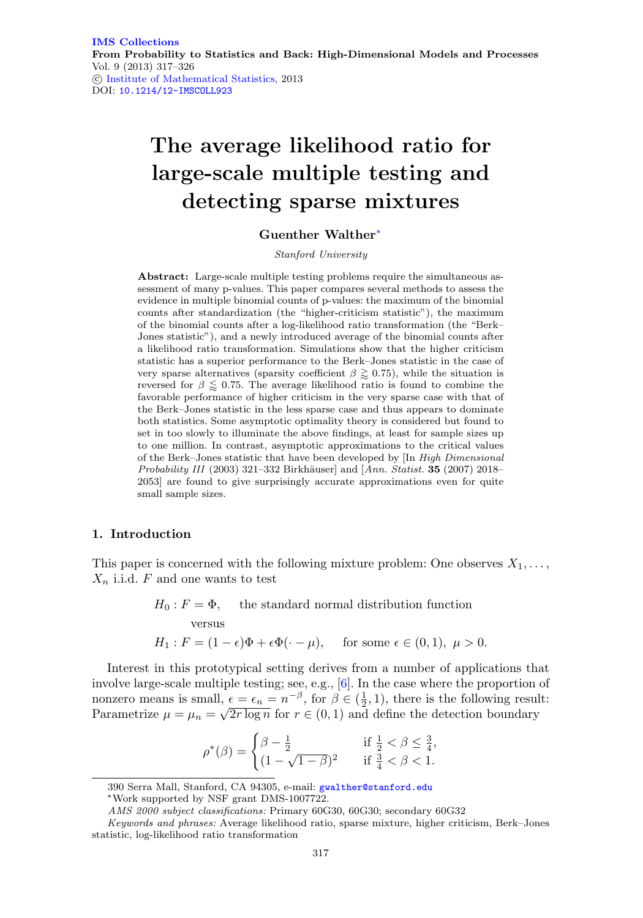# **The average likelihood ratio for large-scale multiple testing and detecting sparse mixtures**

# **Guenther Walther**[∗](#page-0-0)

Stanford University

**Abstract:** Large-scale multiple testing problems require the simultaneous assessment of many p-values. This paper compares several methods to assess the evidence in multiple binomial counts of p-values: the maximum of the binomial counts after standardization (the "higher-criticism statistic"), the maximum of the binomial counts after a log-likelihood ratio transformation (the "Berk– Jones statistic"), and a newly introduced average of the binomial counts after a likelihood ratio transformation. Simulations show that the higher criticism statistic has a superior performance to the Berk–Jones statistic in the case of very sparse alternatives (sparsity coefficient  $\beta \gtrapprox 0.75$ ), while the situation is reversed for  $\beta \leq 0.75$ . The average likelihood ratio is found to combine the favorable performance of higher criticism in the very sparse case with that of the Berk–Jones statistic in the less sparse case and thus appears to dominate both statistics. Some asymptotic optimality theory is considered but found to set in too slowly to illuminate the above findings, at least for sample sizes up to one million. In contrast, asymptotic approximations to the critical values of the Berk–Jones statistic that have been developed by [In High Dimensional Probability III (2003) 321–332 Birkh¨auser] and [Ann. Statist. **35** (2007) 2018– 2053] are found to give surprisingly accurate approximations even for quite small sample sizes.

## **1. Introduction**

This paper is concerned with the following mixture problem: One observes  $X_1, \ldots$ ,  $X_n$  i.i.d. F and one wants to test

 $H_0$ :  $F = \Phi$ , the standard normal distribution function

versus

$$
H_1: F = (1 - \epsilon)\Phi + \epsilon \Phi(\cdot - \mu), \quad \text{ for some } \epsilon \in (0, 1), \ \mu > 0.
$$

Interest in this prototypical setting derives from a number of applications that involve large-scale multiple testing; see, e.g., [\[6](#page-8-0)]. In the case where the proportion of nonzero means is small,  $\epsilon = \epsilon_n = n^{-\beta}$ , for  $\beta \in (\frac{1}{2}, 1)$ , there is the following result:<br>Parametrize  $\mu = \mu_n = \sqrt{2r \log n}$  for  $r \in (0, 1)$  and define the detection boundary

$$
\rho^*(\beta) = \begin{cases} \beta - \frac{1}{2} & \text{if } \frac{1}{2} < \beta \le \frac{3}{4}, \\ (1 - \sqrt{1 - \beta})^2 & \text{if } \frac{3}{4} < \beta < 1. \end{cases}
$$

<sup>390</sup> Serra Mall, Stanford, CA 94305, e-mail: [gwalther@stanford.edu](mailto:gwalther@stanford.edu)

<span id="page-0-0"></span><sup>∗</sup>Work supported by NSF grant DMS-1007722.

AMS 2000 subject classifications: Primary 60G30, 60G30; secondary 60G32

Keywords and phrases: Average likelihood ratio, sparse mixture, higher criticism, Berk–Jones statistic, log-likelihood ratio transformation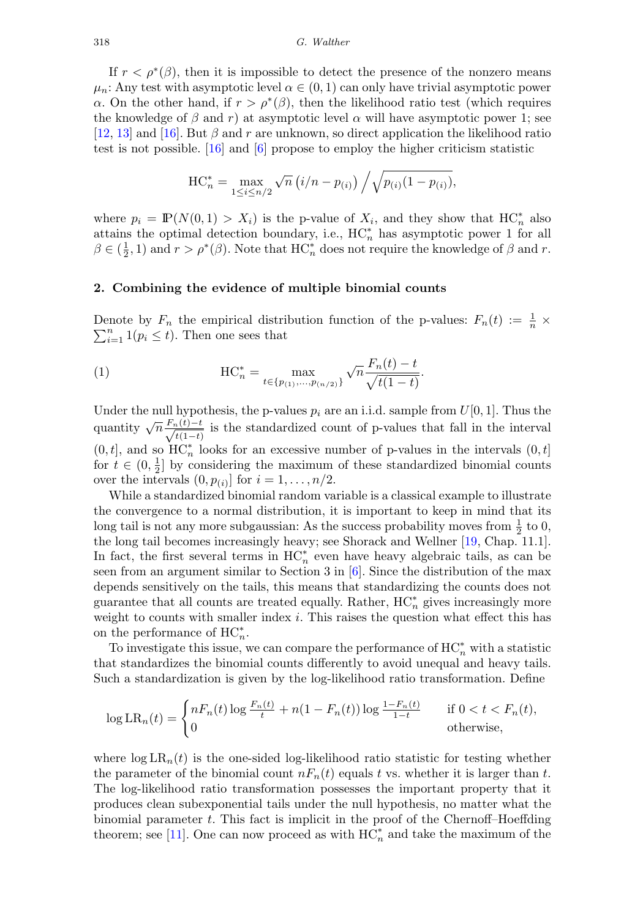If  $r < \rho^*(\beta)$ , then it is impossible to detect the presence of the nonzero means  $\mu_n$ : Any test with asymptotic level  $\alpha \in (0,1)$  can only have trivial asymptotic power α. On the other hand, if  $r > ρ<sup>*</sup>(β)$ , then the likelihood ratio test (which requires the knowledge of  $\beta$  and r) at asymptotic level  $\alpha$  will have asymptotic power 1; see [\[12](#page-8-1), [13](#page-8-2)] and [\[16](#page-8-3)]. But  $\beta$  and r are unknown, so direct application the likelihood ratio test is not possible. [\[16](#page-8-3)] and [\[6\]](#page-8-0) propose to employ the higher criticism statistic

$$
HC_n^* = \max_{1 \le i \le n/2} \sqrt{n} \left( i/n - p_{(i)} \right) / \sqrt{p_{(i)}(1 - p_{(i)})},
$$

where  $p_i = \mathbb{P}(N(0,1) > X_i)$  is the p-value of  $X_i$ , and they show that  $HC_n^*$  also attains the optimal detection boundary, i.e.,  $HC_n^*$  has asymptotic power 1 for all  $\beta \in (\frac{1}{2}, 1)$  and  $r > \rho^*(\beta)$ . Note that  $HC_n^*$  does not require the knowledge of  $\beta$  and r.

## <span id="page-1-0"></span>**2. Combining the evidence of multiple binomial counts**

Denote by  $F_n$  the empirical distribution function of the p-values:  $F_n(t) := \frac{1}{n} \times \sum_{i=1}^n 1(p_i \leq t)$ . Then one sees that  $\sum_{i=1}^{n} 1(p_i \leq t)$ . Then one sees that

(1) 
$$
\text{HC}_{n}^{*} = \max_{t \in \{p_{(1)}, \dots, p_{(n/2)}\}} \sqrt{n} \frac{F_{n}(t) - t}{\sqrt{t(1 - t)}}.
$$

Under the null hypothesis, the p-values  $p_i$  are an i.i.d. sample from  $U[0, 1]$ . Thus the quantity  $\sqrt{n} \frac{F_n(t)-t}{\sqrt{t(1-t)}}$  is the standardized count of p-values that fall in the interval  $(0, t]$ , and so  $HC_n^*$  looks for an excessive number of p-values in the intervals  $(0, t]$ for  $t \in (0, \frac{1}{2}]$  by considering the maximum of these standardized binomial counts over the intervals  $(0, p_{(i)}]$  for  $i = 1, \ldots, n/2$ .

While a standardized binomial random variable is a classical example to illustrate the convergence to a normal distribution, it is important to keep in mind that its long tail is not any more subgaussian: As the success probability moves from  $\frac{1}{2}$  to 0, the long tail becomes increasingly heavy; see Shorack and Wellner [\[19](#page-8-4), Chap. 11.1]. In fact, the first several terms in  $HC_n^*$  even have heavy algebraic tails, as can be seen from an argument similar to Section 3 in [\[6\]](#page-8-0). Since the distribution of the max depends sensitively on the tails, this means that standardizing the counts does not guarantee that all counts are treated equally. Rather,  $HC_n^*$  gives increasingly more weight to counts with smaller index  $i$ . This raises the question what effect this has on the performance of  $HC_n^*$ .

To investigate this issue, we can compare the performance of  $\mathrm{HC}^*_n$  with a statistic that standardizes the binomial counts differently to avoid unequal and heavy tails. Such a standardization is given by the log-likelihood ratio transformation. Define

$$
\log LR_n(t) = \begin{cases} nF_n(t) \log \frac{F_n(t)}{t} + n(1 - F_n(t)) \log \frac{1 - F_n(t)}{1 - t} & \text{if } 0 < t < F_n(t), \\ 0 & \text{otherwise,} \end{cases}
$$

where  $\log LR_n(t)$  is the one-sided log-likelihood ratio statistic for testing whether the parameter of the binomial count  $nF_n(t)$  equals t vs. whether it is larger than t. The log-likelihood ratio transformation possesses the important property that it produces clean subexponential tails under the null hypothesis, no matter what the binomial parameter t. This fact is implicit in the proof of the Chernoff–Hoeffding theorem; see [\[11\]](#page-8-5). One can now proceed as with  $HC_n^*$  and take the maximum of the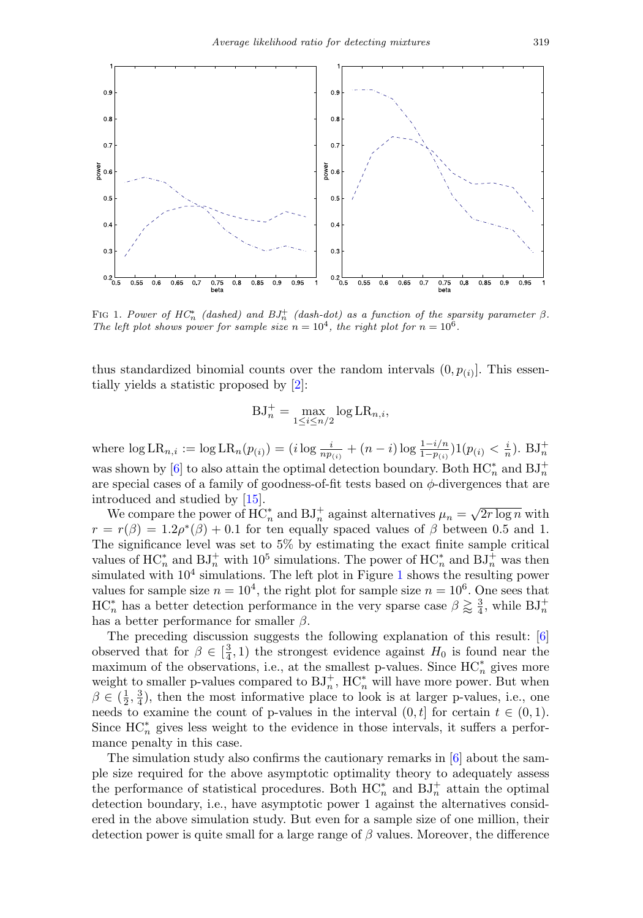

<span id="page-2-0"></span>FIG 1. Power of  $HC_n^*$  (dashed) and  $BJ_n^+$  (dash-dot) as a function of the sparsity parameter  $\beta$ . The left plot shows power for sample size  $n = 10^4$ , the right plot for  $n = 10^6$ .

thus standardized binomial counts over the random intervals  $(0, p_{(i)})$ . This essentially yields a statistic proposed by [\[2\]](#page-8-6):

$$
BJ_n^+ = \max_{1 \le i \le n/2} \log LR_{n,i},
$$

where  $\log LR_{n,i} := \log LR_n(p_{(i)}) = (i \log \frac{i}{np_{(i)}} + (n-i) \log \frac{1-i/n}{1-p_{(i)}}) \mathbb{1}(p_{(i)} < \frac{i}{n}).$  BJ $^+_n$ was shown by [\[6\]](#page-8-0) to also attain the optimal detection boundary. Both  $\mathrm{HC}^*_n$  and  $\mathrm{BJ}^+_n$ are special cases of a family of goodness-of-fit tests based on  $\phi$ -divergences that are introduced and studied by [\[15\]](#page-8-7).

We compare the power of  $HC_n^*$  and  $BJ_n^+$  against alternatives  $\mu_n = \sqrt{2r \log n}$  with  $r = r(\beta) = 1.2\rho^*(\beta) + 0.1$  for ten equally spaced values of  $\beta$  between 0.5 and 1. The significance level was set to 5% by estimating the exact finite sample critical values of  $HC_n^*$  and  $BJ_n^+$  with  $10^5$  simulations. The power of  $HC_n^*$  and  $BJ_n^+$  was then simulated with  $10<sup>4</sup>$  $10<sup>4</sup>$  simulations. The left plot in Figure 1 shows the resulting power values for sample size  $n = 10^4$ , the right plot for sample size  $n = 10^6$ . One sees that  $HC_n^*$  has a better detection performance in the very sparse case  $\beta \gtrapprox \frac{3}{4}$ , while  $BJ_n^+$ has a better performance for smaller  $\beta$ .

The preceding discussion suggests the following explanation of this result: [\[6\]](#page-8-0) observed that for  $\beta \in \left[\frac{3}{4}, 1\right)$  the strongest evidence against  $H_0$  is found near the maximum of the observations, i.e., at the smallest p-values. Since  $HC_n^*$  gives more weight to smaller p-values compared to  $\mathrm{BJ}_n^+$ ,  $\mathrm{HC}_n^*$  will have more power. But when  $\beta \in (\frac{1}{2}, \frac{3}{4})$ , then the most informative place to look is at larger p-values, i.e., one needs to examine the count of p-values in the interval  $(0, t]$  for certain  $t \in (0, 1)$ . Since  $HC_n^*$  gives less weight to the evidence in those intervals, it suffers a performance penalty in this case.

The simulation study also confirms the cautionary remarks in [\[6\]](#page-8-0) about the sample size required for the above asymptotic optimality theory to adequately assess the performance of statistical procedures. Both  $HC_n^*$  and  $BJ_n^+$  attain the optimal detection boundary, i.e., have asymptotic power 1 against the alternatives considered in the above simulation study. But even for a sample size of one million, their detection power is quite small for a large range of  $\beta$  values. Moreover, the difference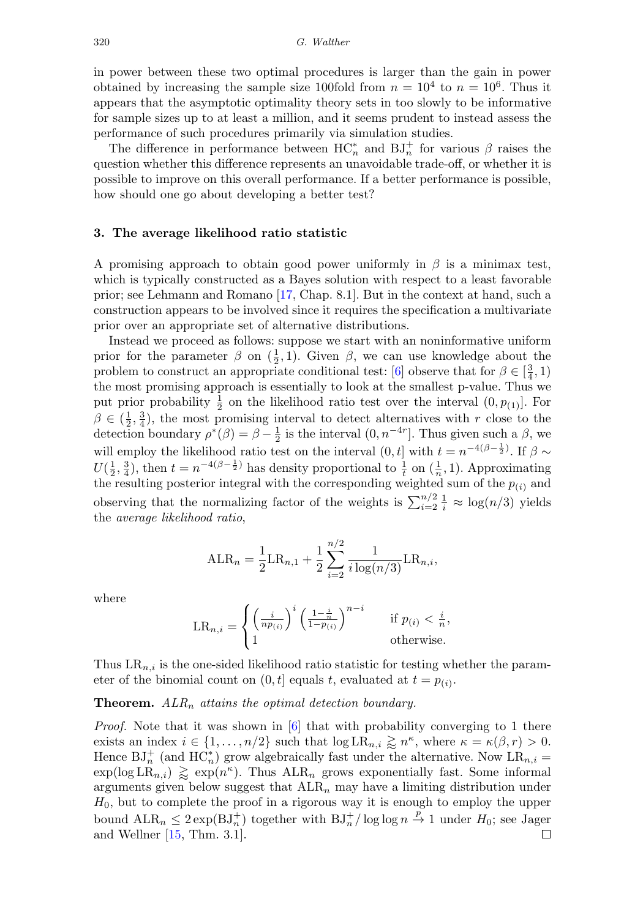in power between these two optimal procedures is larger than the gain in power obtained by increasing the sample size 100fold from  $n = 10^4$  to  $n = 10^6$ . Thus it appears that the asymptotic optimality theory sets in too slowly to be informative for sample sizes up to at least a million, and it seems prudent to instead assess the performance of such procedures primarily via simulation studies.

The difference in performance between  $HC_n^*$  and  $BJ_n^+$  for various  $\beta$  raises the question whether this difference represents an unavoidable trade-off, or whether it is possible to improve on this overall performance. If a better performance is possible, how should one go about developing a better test?

## **3. The average likelihood ratio statistic**

A promising approach to obtain good power uniformly in  $\beta$  is a minimax test, which is typically constructed as a Bayes solution with respect to a least favorable prior; see Lehmann and Romano [\[17](#page-8-8), Chap. 8.1]. But in the context at hand, such a construction appears to be involved since it requires the specification a multivariate prior over an appropriate set of alternative distributions.

Instead we proceed as follows: suppose we start with an noninformative uniform prior for the parameter  $\beta$  on  $(\frac{1}{2}, 1)$ . Given  $\beta$ , we can use knowledge about the problem to construct an appropriate conditional test: [\[6](#page-8-0)] observe that for  $\beta \in \left[\frac{3}{4}, 1\right)$ the most promising approach is essentially to look at the smallest p-value. Thus we put prior probability  $\frac{1}{2}$  on the likelihood ratio test over the interval  $(0, p_{(1)})$ . For  $\beta \in (\frac{1}{2}, \frac{3}{4})$ , the most promising interval to detect alternatives with r close to the detection boundary  $\rho^*(\beta) = \beta - \frac{1}{2}$  is the interval  $(0, n^{-4r}]$ . Thus given such a  $\beta$ , we will employ the likelihood ratio test on the interval  $(0, t]$  with  $t = n^{-4(\beta - \frac{1}{2})}$ . If  $\beta \sim$  $U(\frac{1}{2}, \frac{3}{4})$ , then  $t = n^{-4(\beta - \frac{1}{2})}$  has density proportional to  $\frac{1}{t}$  on  $(\frac{1}{n}, 1)$ . Approximating the resulting posterior integral with the corresponding weighted sum of the  $p_{(i)}$  and observing that the normalizing factor of the weights is  $\sum_{i=2}^{n/2} \frac{1}{i} \approx \log(n/3)$  yields the average likelihood ratio,

$$
ALR_n = \frac{1}{2}LR_{n,1} + \frac{1}{2} \sum_{i=2}^{n/2} \frac{1}{i \log(n/3)} LR_{n,i},
$$

where

$$
\text{LR}_{n,i} = \begin{cases} \left(\frac{i}{np_{(i)}}\right)^i \left(\frac{1-\frac{i}{n}}{1-p_{(i)}}\right)^{n-i} & \text{if } p_{(i)} < \frac{i}{n},\\ 1 & \text{otherwise.} \end{cases}
$$

Thus  $LR_{n,i}$  is the one-sided likelihood ratio statistic for testing whether the parameter of the binomial count on  $(0, t]$  equals t, evaluated at  $t = p_{(i)}$ .

#### **Theorem.**  $ALR_n$  attains the optimal detection boundary.

*Proof.* Note that it was shown in  $[6]$  $[6]$  that with probability converging to 1 there exists an index  $i \in \{1, ..., n/2\}$  such that  $\log LR_{n,i} \gtrapprox n^{\kappa}$ , where  $\kappa = \kappa(\beta, r) > 0$ . Hence  $\mathrm{BJ}_n^+$  (and  $\mathrm{HC}_n^*$ ) grow algebraically fast under the alternative. Now  $\mathrm{LR}_{n,i} =$  $\exp(\log LR_{n,i}) \geq \exp(n^{\kappa})$ . Thus  $\text{ALR}_n$  grows exponentially fast. Some informal arguments given below suggest that  $ALR_n$  may have a limiting distribution under  $H_0$ , but to complete the proof in a rigorous way it is enough to employ the upper bound  $\text{ALR}_n \leq 2 \exp(BJ_n^+)$  together with  $\text{BJ}_n^+/\log \log n \stackrel{p}{\to} 1$  under  $H_0$ ; see Jager and Wellner [\[15](#page-8-7), Thm. 3.1].□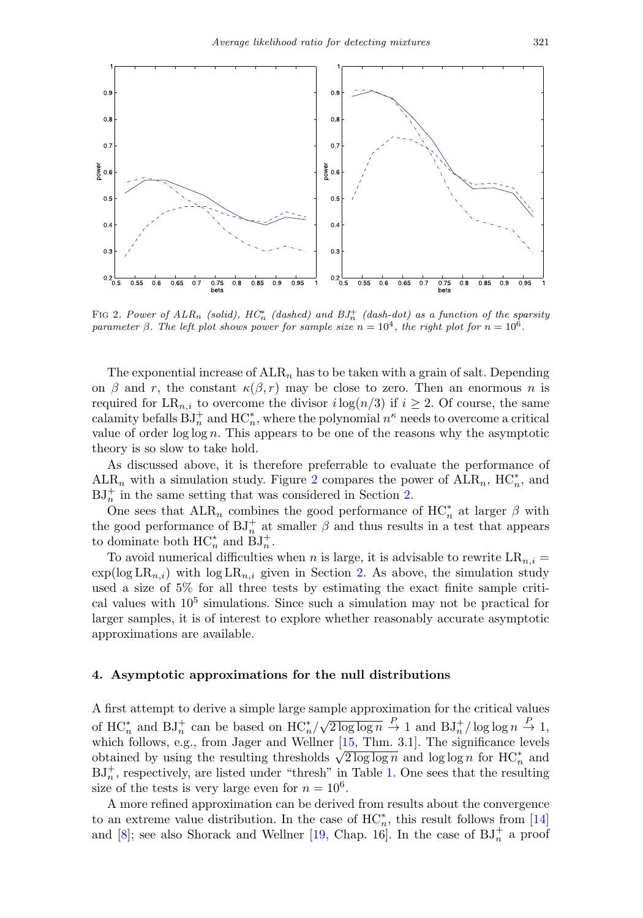

<span id="page-4-0"></span>FIG 2. Power of  $ALR_n$  (solid),  $HC_n^*$  (dashed) and  $BJ_n^+$  (dash-dot) as a function of the sparsity parameter  $\beta$ . The left plot shows power for sample size  $n = 10^4$ , the right plot for  $n = 10^6$ .

The exponential increase of  $ALR_n$  has to be taken with a grain of salt. Depending on  $\beta$  and r, the constant  $\kappa(\beta, r)$  may be close to zero. Then an enormous n is required for  $LR_{n,i}$  to overcome the divisor  $i\log(n/3)$  if  $i \geq 2$ . Of course, the same calamity befalls  $\mathrm{BJ}_n^+$  and  $\mathrm{HC}_n^*$ , where the polynomial  $n^\kappa$  needs to overcome a critical value of order log log n. This appears to be one of the reasons why the asymptotic theory is so slow to take hold.

As discussed above, it is therefore preferrable to evaluate the performance of ALR<sub>n</sub> with a simulation study. Figure [2](#page-4-0) compares the power of  $\text{ALR}_n$ ,  $\text{HC}_n^*$ , and  $BJ_n^+$  in the same setting that was considered in Section [2.](#page-1-0)

One sees that  $\text{ALR}_n$  combines the good performance of  $\text{HC}^*_n$  at larger  $\beta$  with the good performance of  $\mathrm{BJ}_n^+$  at smaller  $\beta$  and thus results in a test that appears to dominate both  $HC_n^*$  and  $BJ_n^+$ .

To avoid numerical difficulties when n is large, it is advisable to rewrite  $LR_{n,i} =$  $\exp(\log LR_{n,i})$  with  $\log LR_{n,i}$  given in Section [2.](#page-1-0) As above, the simulation study used a size of 5% for all three tests by estimating the exact finite sample critical values with  $10<sup>5</sup>$  simulations. Since such a simulation may not be practical for larger samples, it is of interest to explore whether reasonably accurate asymptotic approximations are available.

## **4. Asymptotic approximations for the null distributions**

A first attempt to derive a simple large sample approximation for the critical values of HC<sup>\*</sup><sub>n</sub> and BJ<sup>+</sup><sub>n</sub> can be based on HC<sup>\*</sup><sub>n</sub>/ $\sqrt{2 \log \log n}$ <sup>D</sup> + 1 and BJ<sup>+</sup><sub>n</sub>/ $\log \log n$ <sup>D</sup> + 1, which follows, e.g., from Jager and Wellner [\[15,](#page-8-7) Thm. 3.1]. The significance levels which follows, e.g., from Jager and weilder  $\frac{13}{\sqrt{2 \log \log n}}$  and  $\log \log n$  for HC<sup>\*</sup><sub>n</sub> and og log n for HC<sup>\*</sup><sub>n</sub> and  $BJ_n^+$ , respectively, are listed under "thresh" in Table [1.](#page-5-0) One sees that the resulting size of the tests is very large even for  $n = 10^6$ .

A more refined approximation can be derived from results about the convergence to an extreme value distribution. In the case of  $HC_n^*$ , this result follows from [\[14\]](#page-8-9) and [\[8\]](#page-8-10); see also Shorack and Wellner [\[19](#page-8-4), Chap. 16]. In the case of  $BJ_n^+$  a proof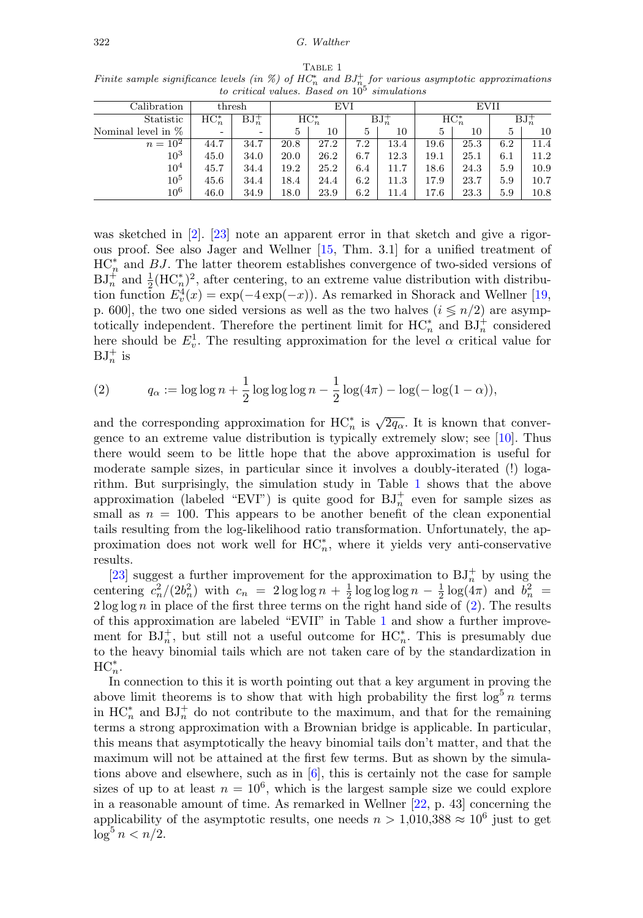| Calibration          |                          | $_{\rm thresh}$          |          | EVI  |          |          | EVII     |      |          |      |  |  |  |
|----------------------|--------------------------|--------------------------|----------|------|----------|----------|----------|------|----------|------|--|--|--|
| Statistic            | $HC_n^*$                 | $BJ_n^+$                 | $HC_n^*$ |      | $BJ_n^+$ |          | $HC_n^*$ |      | $BJ_n^+$ |      |  |  |  |
| Nominal level in $%$ | $\overline{\phantom{0}}$ | $\overline{\phantom{a}}$ | 5        | 10   | 5        | 10       | 5        | 10   | 5        | 10   |  |  |  |
| $n = 10^{2}$         | 44.7                     | 34.7                     | 20.8     | 27.2 | 7.2      | 13.4     | 19.6     | 25.3 | 6.2      | 11.4 |  |  |  |
| $10^{3}$             | 45.0                     | 34.0                     | 20.0     | 26.2 | 6.7      | $12.3\,$ | 19.1     | 25.1 | $6.1\,$  | 11.2 |  |  |  |
| 10 <sup>4</sup>      | 45.7                     | 34.4                     | 19.2     | 25.2 | 6.4      | 11.7     | 18.6     | 24.3 | 5.9      | 10.9 |  |  |  |
| $10^5$               | 45.6                     | 34.4                     | 18.4     | 24.4 | 6.2      | 11.3     | 17.9     | 23.7 | 5.9      | 10.7 |  |  |  |
| $10^6$               | 46.0                     | 34.9                     | 18.0     | 23.9 | 6.2      | 11.4     | 17.6     | 23.3 | 5.9      | 10.8 |  |  |  |

<span id="page-5-0"></span>TABLE 1 Finite sample significance levels (in %) of  $HC_n^*$  and  $BJ_n^+$  for various asymptotic approximations<br>to critical values. Based on  $10^5$  simulations

was sketched in [\[2\]](#page-8-6). [\[23\]](#page-9-0) note an apparent error in that sketch and give a rigorous proof. See also Jager and Wellner [\[15](#page-8-7), Thm. 3.1] for a unified treatment of  $HC_n^*$  and  $BJ$ . The latter theorem establishes convergence of two-sided versions of  $BJ_n^+$  and  $\frac{1}{2}(\mathrm{HC}_n^*)^2$ , after centering, to an extreme value distribution with distribution function  $E_v^4(x) = \exp(-4 \exp(-x))$ . As remarked in Shorack and Wellner [\[19](#page-8-4), p. 600, the two one sided versions as well as the two halves  $(i \leq n/2)$  are asymptotically independent. Therefore the pertinent limit for  $HC_n^*$  and  $BJ_n^+$  considered here should be  $E_v^1$ . The resulting approximation for the level  $\alpha$  critical value for  $BJ_n^+$  is

<span id="page-5-1"></span>(2) 
$$
q_{\alpha} := \log \log n + \frac{1}{2} \log \log \log n - \frac{1}{2} \log(4\pi) - \log(-\log(1-\alpha)),
$$

and the corresponding approximation for  $HC_n^*$  is  $\sqrt{2q_\alpha}$ . It is known that convergence to an extreme value distribution is typically extremely slow; see [\[10\]](#page-8-11). Thus there would seem to be little hope that the above approximation is useful for moderate sample sizes, in particular since it involves a doubly-iterated (!) logarithm. But surprisingly, the simulation study in Table [1](#page-5-0) shows that the above approximation (labeled "EVI") is quite good for  $BJ_n^+$  even for sample sizes as small as  $n = 100$ . This appears to be another benefit of the clean exponential tails resulting from the log-likelihood ratio transformation. Unfortunately, the approximation does not work well for  $HC_n^*$ , where it yields very anti-conservative results.

[\[23](#page-9-0)] suggest a further improvement for the approximation to  $BJ_n^+$  by using the centering  $c_n^2/(2b_n^2)$  with  $c_n = 2 \log \log n + \frac{1}{2} \log \log \log n - \frac{1}{2} \log(4\pi)$  and  $b_n^2$  $2 \log \log n$  in place of the first three terms on the right hand side of  $(2)$ . The results of this approximation are labeled "EVII" in Table [1](#page-5-0) and show a further improvement for  $BJ_n^+$ , but still not a useful outcome for  $HC_n^*$ . This is presumably due to the heavy binomial tails which are not taken care of by the standardization in  $HC_n^*$ .

In connection to this it is worth pointing out that a key argument in proving the above limit theorems is to show that with high probability the first  $\log^5 n$  terms in  $HC_n^*$  and  $BJ_n^+$  do not contribute to the maximum, and that for the remaining terms a strong approximation with a Brownian bridge is applicable. In particular, this means that asymptotically the heavy binomial tails don't matter, and that the maximum will not be attained at the first few terms. But as shown by the simulations above and elsewhere, such as in  $[6]$ , this is certainly not the case for sample sizes of up to at least  $n = 10^6$ , which is the largest sample size we could explore in a reasonable amount of time. As remarked in Wellner [\[22,](#page-9-1) p. 43] concerning the applicability of the asymptotic results, one needs  $n > 1,010,388 \approx 10^6$  just to get  $\log^5 n < n/2.$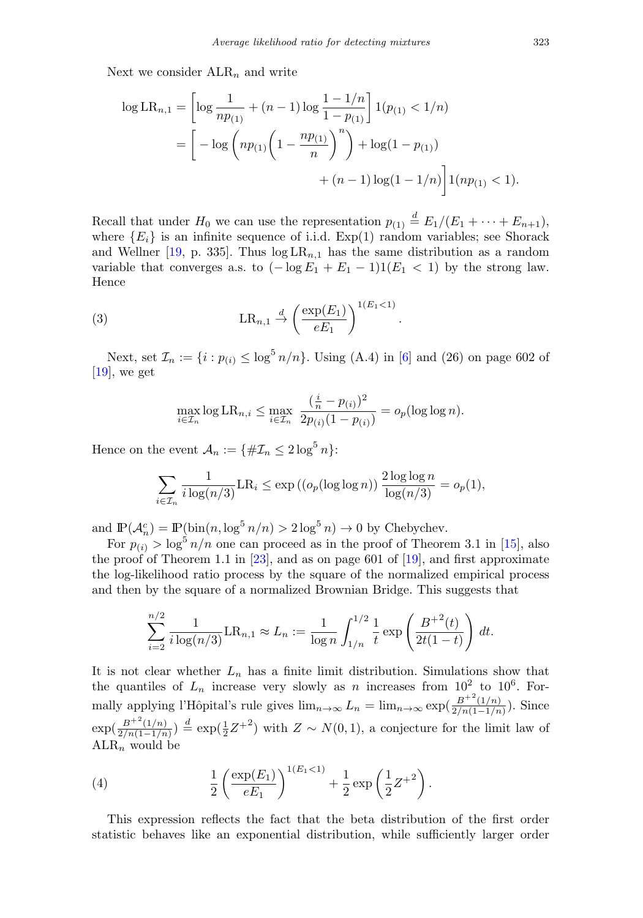Next we consider  $\text{ALR}_n$  and write

$$
\log LR_{n,1} = \left[ \log \frac{1}{np_{(1)}} + (n-1) \log \frac{1-1/n}{1-p_{(1)}} \right] 1(p_{(1)} < 1/n)
$$
  
= 
$$
\left[ -\log \left( np_{(1)} \left( 1 - \frac{np_{(1)}}{n} \right)^n \right) + \log(1-p_{(1)}) + (n-1) \log(1-1/n) \right] 1(np_{(1)} < 1).
$$

Recall that under  $H_0$  we can use the representation  $p_{(1)} \stackrel{d}{=} E_1/(E_1 + \cdots + E_{n+1}),$ where  ${E_i}$  is an infinite sequence of i.i.d.  $Exp(1)$  random variables; see Shorack and Wellner [\[19,](#page-8-4) p. 335]. Thus  $log LR_{n,1}$  has the same distribution as a random variable that converges a.s. to  $(-\log E_1 + E_1 - 1)1(E_1 < 1)$  by the strong law. Hence

(3) 
$$
LR_{n,1} \stackrel{d}{\rightarrow} \left(\frac{\exp(E_1)}{eE_1}\right)^{1(E_1 < 1)}
$$

Next, set  $\mathcal{I}_n := \{i : p_{(i)} \leq \log^5 n/n\}$ . Using (A.4) in [\[6](#page-8-0)] and (26) on page 602 of [\[19\]](#page-8-4), we get

.

$$
\max_{i \in \mathcal{I}_n} \log \mathrm{LR}_{n,i} \le \max_{i \in \mathcal{I}_n} \frac{\left(\frac{i}{n} - p_{(i)}\right)^2}{2p_{(i)}(1 - p_{(i)})} = o_p(\log \log n).
$$

Hence on the event  $\mathcal{A}_n := \{ \# \mathcal{I}_n \leq 2 \log^5 n \}$ :

$$
\sum_{i \in \mathcal{I}_n} \frac{1}{i \log(n/3)} \text{LR}_i \le \exp\left( \left( o_p(\log \log n) \right) \frac{2 \log \log n}{\log(n/3)} \right) = o_p(1),
$$

and  $\mathbb{P}(\mathcal{A}_n^c) = \mathbb{P}(\text{bin}(n, \log^5 n/n) > 2 \log^5 n) \to 0$  by Chebychev.

For  $p_{(i)} > \log^5 n/n$  one can proceed as in the proof of Theorem 3.1 in [\[15](#page-8-7)], also the proof of Theorem 1.1 in [\[23\]](#page-9-0), and as on page 601 of [\[19\]](#page-8-4), and first approximate the log-likelihood ratio process by the square of the normalized empirical process and then by the square of a normalized Brownian Bridge. This suggests that

$$
\sum_{i=2}^{n/2} \frac{1}{i \log(n/3)} \text{LR}_{n,1} \approx L_n := \frac{1}{\log n} \int_{1/n}^{1/2} \frac{1}{t} \exp\left(\frac{B^{+2}(t)}{2t(1-t)}\right) dt.
$$

It is not clear whether  $L_n$  has a finite limit distribution. Simulations show that the quantiles of  $L_n$  increase very slowly as n increases from  $10^2$  to  $10^6$ . Formally applying l'Hôpital's rule gives  $\lim_{n\to\infty} L_n = \lim_{n\to\infty} \exp(\frac{B^{+2}(1/n)}{2/n(1-1/n)})$ . Since  $\exp(\frac{B^{+2}(1/n)}{2/n(1-1/n)}) \stackrel{d}{=} \exp(\frac{1}{2}Z^{+2})$  with  $Z \sim N(0, 1)$ , a conjecture for the limit law of  $ALR_n$  would be

<span id="page-6-0"></span>(4) 
$$
\frac{1}{2} \left( \frac{\exp(E_1)}{eE_1} \right)^{1(E_1 < 1)} + \frac{1}{2} \exp\left(\frac{1}{2}Z^{+2}\right).
$$

This expression reflects the fact that the beta distribution of the first order statistic behaves like an exponential distribution, while sufficiently larger order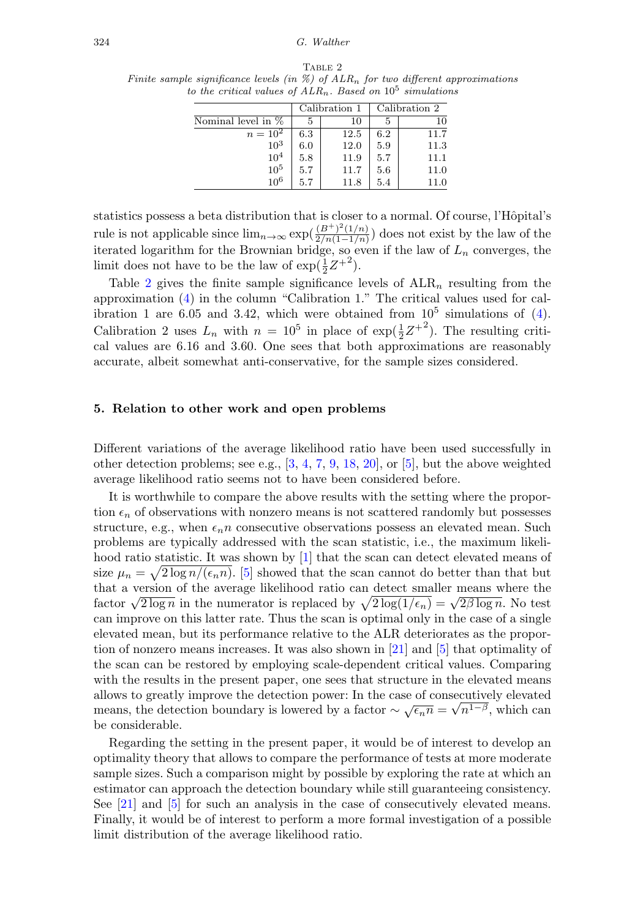TABLE 2

<span id="page-7-0"></span>Finite sample significance levels (in  $\%$ ) of  $ALR_n$  for two different approximations to the critical values of  $ALR_n$ . Based on  $10^5$  simulations

|                     |     | Calibration 1 | Calibration 2 |      |  |  |
|---------------------|-----|---------------|---------------|------|--|--|
| Nominal level in \% | 5.  | 10            |               | 10   |  |  |
| $n = 10^2$          | 6.3 | 12.5          | 6.2           | 11.7 |  |  |
| $10^{3}$            | 6.0 | 12.0          | 5.9           | 11.3 |  |  |
| $10^{4}$            | 5.8 | 11.9          | 5.7           | 11.1 |  |  |
| $10^5\,$            | 5.7 | 11.7          | 5.6           | 11.0 |  |  |
| $10^{6}$            | 5.7 | 11.8          | 5.4           | 11.0 |  |  |

statistics possess a beta distribution that is closer to a normal. Of course, l'Hôpital's rule is not applicable since  $\lim_{n\to\infty} \exp(\frac{(B^+)^2(1/n)}{2/n(1-1/n)})$  does not exist by the law of the iterated logarithm for the Brownian bridge, so even if the law of  $L_n$  converges, the limit does not have to be the law of  $\exp(\frac{1}{2}Z^{+2})$ .

Table [2](#page-7-0) gives the finite sample significance levels of  $ALR_n$  resulting from the approximation [\(4\)](#page-6-0) in the column "Calibration 1." The critical values used for calibration 1 are 6.05 and 3.42, which were obtained from  $10^5$  simulations of [\(4\)](#page-6-0). Calibration 2 uses  $L_n$  with  $n = 10^5$  in place of  $\exp(\frac{1}{2}Z^{+2})$ . The resulting critical values are 6.16 and 3.60. One sees that both approximations are reasonably accurate, albeit somewhat anti-conservative, for the sample sizes considered.

## **5. Relation to other work and open problems**

Different variations of the average likelihood ratio have been used successfully in other detection problems; see e.g.,  $[3, 4, 7, 9, 18, 20]$  $[3, 4, 7, 9, 18, 20]$  $[3, 4, 7, 9, 18, 20]$  $[3, 4, 7, 9, 18, 20]$  $[3, 4, 7, 9, 18, 20]$  $[3, 4, 7, 9, 18, 20]$  $[3, 4, 7, 9, 18, 20]$  $[3, 4, 7, 9, 18, 20]$  $[3, 4, 7, 9, 18, 20]$  $[3, 4, 7, 9, 18, 20]$  $[3, 4, 7, 9, 18, 20]$ , or  $[5]$ , but the above weighted average likelihood ratio seems not to have been considered before.

It is worthwhile to compare the above results with the setting where the proportion  $\epsilon_n$  of observations with nonzero means is not scattered randomly but possesses structure, e.g., when  $\epsilon_n n$  consecutive observations possess an elevated mean. Such problems are typically addressed with the scan statistic, i.e., the maximum likeli-hood ratio statistic. It was shown by [\[1](#page-8-19)] that the scan can detect elevated means of size  $\mu_n = \sqrt{2 \log n / (\epsilon_n n)}$ . [\[5\]](#page-8-18) showed that the scan cannot do better than that but that a version of the average likelihood ratio can detect smaller means where the factor  $\sqrt{2 \log n}$  in the numerator is replaced by  $\sqrt{2 \log(1/\epsilon_n)} = \sqrt{2 \beta \log n}$ . No test can improve on this latter rate. Thus the scan is optimal only in the case of a single elevated mean, but its performance relative to the ALR deteriorates as the proportion of nonzero means increases. It was also shown in [\[21](#page-8-20)] and [\[5\]](#page-8-18) that optimality of the scan can be restored by employing scale-dependent critical values. Comparing with the results in the present paper, one sees that structure in the elevated means allows to greatly improve the detection power: In the case of consecutively elevated allows to greatly improve the detection power: In the case of consecutively elevated means, the detection boundary is lowered by a factor  $\sim \sqrt{\epsilon_n n} = \sqrt{n^{1-\beta}}$ , which can be considerable.

Regarding the setting in the present paper, it would be of interest to develop an optimality theory that allows to compare the performance of tests at more moderate sample sizes. Such a comparison might by possible by exploring the rate at which an estimator can approach the detection boundary while still guaranteeing consistency. See [\[21](#page-8-20)] and [\[5](#page-8-18)] for such an analysis in the case of consecutively elevated means. Finally, it would be of interest to perform a more formal investigation of a possible limit distribution of the average likelihood ratio.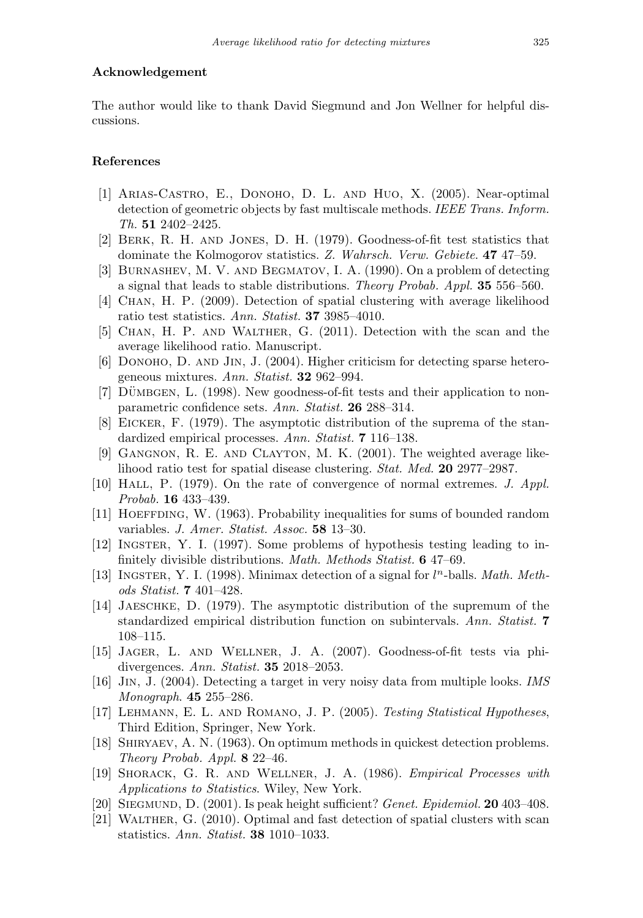## **Acknowledgement**

The author would like to thank David Siegmund and Jon Wellner for helpful discussions.

# **References**

- <span id="page-8-19"></span>[1] Arias-Castro, E., Donoho, D. L. and Huo, X. (2005). Near-optimal detection of geometric objects by fast multiscale methods. IEEE Trans. Inform. Th. **51** 2402–2425.
- <span id="page-8-6"></span>[2] Berk, R. H. and Jones, D. H. (1979). Goodness-of-fit test statistics that dominate the Kolmogorov statistics. Z. Wahrsch. Verw. Gebiete. **47** 47–59.
- <span id="page-8-12"></span>[3] Burnashev, M. V. and Begmatov, I. A. (1990). On a problem of detecting a signal that leads to stable distributions. Theory Probab. Appl. **35** 556–560.
- <span id="page-8-13"></span>[4] Chan, H. P. (2009). Detection of spatial clustering with average likelihood ratio test statistics. Ann. Statist. **37** 3985–4010.
- <span id="page-8-18"></span>[5] Chan, H. P. and Walther, G. (2011). Detection with the scan and the average likelihood ratio. Manuscript.
- <span id="page-8-0"></span>[6] DONOHO, D. AND JIN, J. (2004). Higher criticism for detecting sparse heterogeneous mixtures. Ann. Statist. **32** 962–994.
- <span id="page-8-14"></span>[7] DÜMBGEN, L.  $(1998)$ . New goodness-of-fit tests and their application to nonparametric confidence sets. Ann. Statist. **26** 288–314.
- <span id="page-8-10"></span>[8] Eicker, F. (1979). The asymptotic distribution of the suprema of the standardized empirical processes. Ann. Statist. **7** 116–138.
- <span id="page-8-15"></span>[9] Gangnon, R. E. and Clayton, M. K. (2001). The weighted average likelihood ratio test for spatial disease clustering. Stat. Med. **20** 2977–2987.
- <span id="page-8-11"></span>[10] Hall, P. (1979). On the rate of convergence of normal extremes. J. Appl. Probab. **16** 433–439.
- <span id="page-8-5"></span>[11] Hoeffding, W. (1963). Probability inequalities for sums of bounded random variables. J. Amer. Statist. Assoc. **58** 13–30.
- <span id="page-8-1"></span>[12] Ingster, Y. I. (1997). Some problems of hypothesis testing leading to infinitely divisible distributions. Math. Methods Statist. **6** 47–69.
- <span id="page-8-2"></span>[13] INGSTER, Y. I. (1998). Minimax detection of a signal for  $l<sup>n</sup>$ -balls. Math. Methods Statist. **7** 401–428.
- <span id="page-8-9"></span>[14] Jaeschke, D. (1979). The asymptotic distribution of the supremum of the standardized empirical distribution function on subintervals. Ann. Statist. **7** 108–115.
- <span id="page-8-7"></span>[15] Jager, L. and Wellner, J. A. (2007). Goodness-of-fit tests via phidivergences. Ann. Statist. **35** 2018–2053.
- <span id="page-8-3"></span>[16] Jin, J. (2004). Detecting a target in very noisy data from multiple looks. IMS Monograph. **45** 255–286.
- <span id="page-8-8"></span>[17] Lehmann, E. L. and Romano, J. P. (2005). Testing Statistical Hypotheses, Third Edition, Springer, New York.
- <span id="page-8-16"></span>[18] Shiryaev, A. N. (1963). On optimum methods in quickest detection problems. Theory Probab. Appl. **8** 22–46.
- <span id="page-8-4"></span>[19] Shorack, G. R. and Wellner, J. A. (1986). Empirical Processes with Applications to Statistics. Wiley, New York.
- <span id="page-8-17"></span>[20] Siegmund, D. (2001). Is peak height sufficient? Genet. Epidemiol. **20** 403–408.
- <span id="page-8-20"></span>[21] Walther, G. (2010). Optimal and fast detection of spatial clusters with scan statistics. Ann. Statist. **38** 1010–1033.